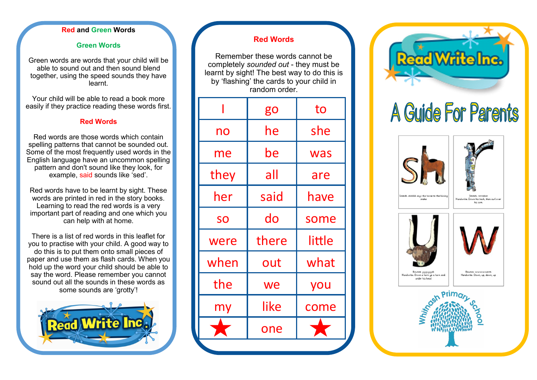#### **Red and Green Words**

#### **Green Words**

Green words are words that your child will be able to sound out and then sound blend together, using the speed sounds they have learnt.

Your child will be able to read a book more easily if they practice reading these words first.

#### **Red Words**

Red words are those words which contain spelling patterns that cannot be sounded out. Some of the most frequently used words in the English language have an uncommon spelling pattern and don't sound like they look, for example, said sounds like 'sed'.

Red words have to be learnt by sight. These words are printed in red in the story books. Learning to read the red words is a very important part of reading and one which you can help with at home.

There is a list of red words in this leaflet for you to practise with your child. A good way to do this is to put them onto small pieces of paper and use them as flash cards. When you hold up the word your child should be able to say the word. Please remember you cannot sound out all the sounds in these words as some sounds are 'grotty'!



### **Red Words**

Remember these words cannot be completely *sounded out* - they must be learnt by sight! The best way to do this is by 'flashing' the cards to your child in random order.

|      | go    | to     |
|------|-------|--------|
| no   | he    | she    |
| me   | be    | was    |
| they | all   | are    |
| her  | said  | have   |
| SO   | do    | some   |
| were | there | little |
| when | out   | what   |
| the  | we    | you    |
| my   | like  | come   |
|      | one   |        |
|      |       |        |



# A Guide For Parents







u-u-u-ua landwrite: Down a horn up a horn and under his hear

Rounce, www.www.wor andwrite: Down, up, down, up